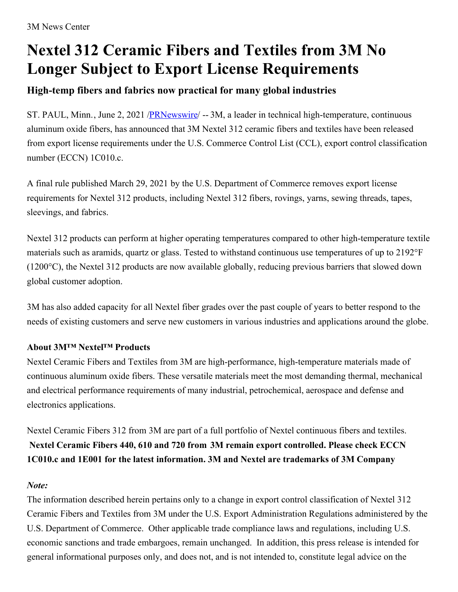## **Nextel 312 Ceramic Fibers and Textiles from 3M No Longer Subject to Export License Requirements**

## **High-temp fibers and fabrics now practical for many global industries**

ST. PAUL, Minn., June 2, 2021 /**PRNewswire/ --** 3M, a leader in technical high-temperature, continuous aluminum oxide fibers, has announced that 3M Nextel 312 ceramic fibers and textiles have been released from export license requirements under the U.S. Commerce Control List (CCL), export control classification number (ECCN) 1C010.c.

A final rule published March 29, 2021 by the U.S. Department of Commerce removes export license requirements for Nextel 312 products, including Nextel 312 fibers, rovings, yarns, sewing threads, tapes, sleevings, and fabrics.

Nextel 312 products can perform at higher operating temperatures compared to other high-temperature textile materials such as aramids, quartz or glass. Tested to withstand continuous use temperatures of up to 2192°F (1200°C), the Nextel 312 products are now available globally, reducing previous barriers that slowed down global customer adoption.

3M has also added capacity for all Nextel fiber grades over the past couple of years to better respond to the needs of existing customers and serve new customers in various industries and applications around the globe.

## **About 3M™ Nextel™ Products**

Nextel Ceramic Fibers and Textiles from 3M are high-performance, high-temperature materials made of continuous aluminum oxide fibers. These versatile materials meet the most demanding thermal, mechanical and electrical performance requirements of many industrial, petrochemical, aerospace and defense and electronics applications.

Nextel Ceramic Fibers 312 from 3M are part of a full portfolio of Nextel continuous fibers and textiles. **Nextel Ceramic Fibers 440, 610 and 720 from 3M remain export controlled. Please check ECCN 1C010.c and 1E001 for the latest information. 3M and Nextel are trademarks of 3M Company**

## *Note:*

The information described herein pertains only to a change in export control classification of Nextel 312 Ceramic Fibers and Textiles from 3M under the U.S. Export Administration Regulations administered by the U.S. Department of Commerce. Other applicable trade compliance laws and regulations, including U.S. economic sanctions and trade embargoes, remain unchanged. In addition, this press release is intended for general informational purposes only, and does not, and is not intended to, constitute legal advice on the